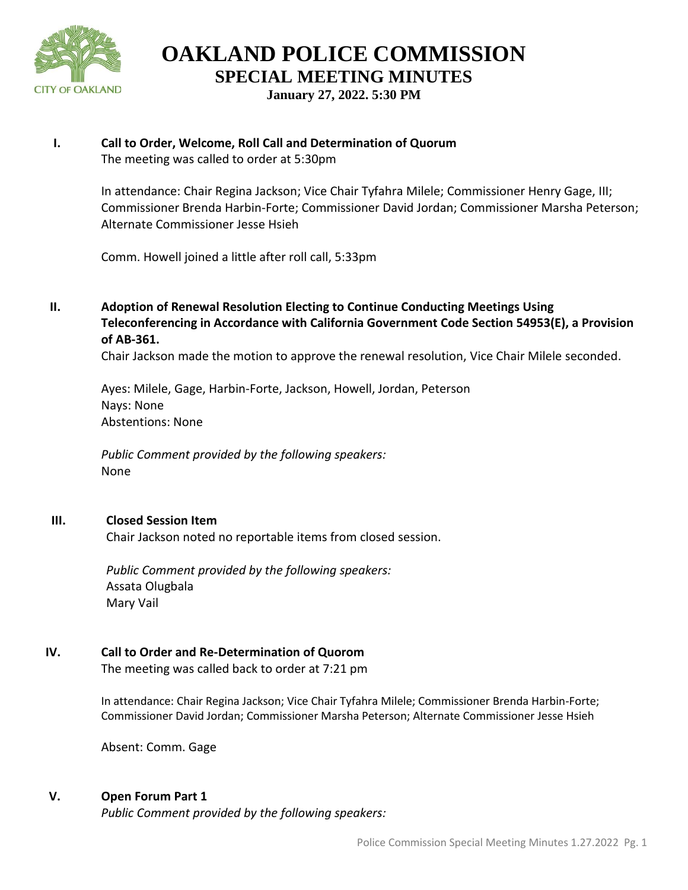

**OAKLAND POLICE COMMISSION SPECIAL MEETING MINUTES**

**January 27, 2022. 5:30 PM**

## **I. Call to Order, Welcome, Roll Call and Determination of Quorum** The meeting was called to order at 5:30pm

In attendance: Chair Regina Jackson; Vice Chair Tyfahra Milele; Commissioner Henry Gage, III; Commissioner Brenda Harbin-Forte; Commissioner David Jordan; Commissioner Marsha Peterson; Alternate Commissioner Jesse Hsieh

Comm. Howell joined a little after roll call, 5:33pm

**II. Adoption of Renewal Resolution Electing to Continue Conducting Meetings Using Teleconferencing in Accordance with California Government Code Section 54953(E), a Provision of AB-361.** 

Chair Jackson made the motion to approve the renewal resolution, Vice Chair Milele seconded.

Ayes: Milele, Gage, Harbin-Forte, Jackson, Howell, Jordan, Peterson Nays: None Abstentions: None

*Public Comment provided by the following speakers:*  None

# **III. Closed Session Item**

Chair Jackson noted no reportable items from closed session.

*Public Comment provided by the following speakers:*  Assata Olugbala Mary Vail

# **IV. Call to Order and Re-Determination of Quorom**

The meeting was called back to order at 7:21 pm

In attendance: Chair Regina Jackson; Vice Chair Tyfahra Milele; Commissioner Brenda Harbin-Forte; Commissioner David Jordan; Commissioner Marsha Peterson; Alternate Commissioner Jesse Hsieh

Absent: Comm. Gage

# **V. Open Forum Part 1**

*Public Comment provided by the following speakers:*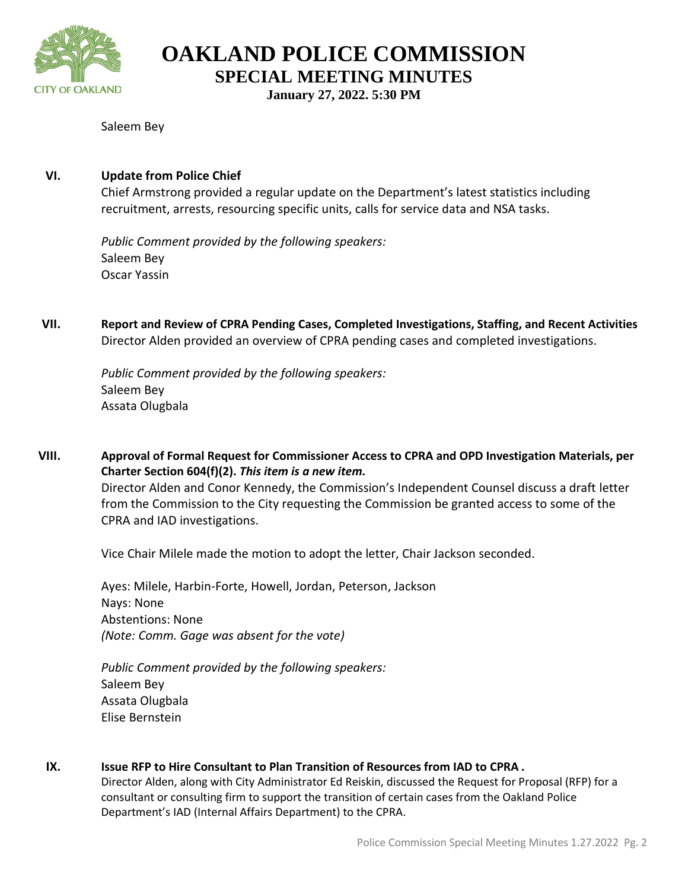

**OAKLAND POLICE COMMISSION**

**SPECIAL MEETING MINUTES**

**January 27, 2022. 5:30 PM**

## Saleem Bey

## **VI. Update from Police Chief**

Chief Armstrong provided a regular update on the Department's latest statistics including recruitment, arrests, resourcing specific units, calls for service data and NSA tasks.

*Public Comment provided by the following speakers:*  Saleem Bey Oscar Yassin

**VII. Report and Review of CPRA Pending Cases, Completed Investigations, Staffing, and Recent Activities**  Director Alden provided an overview of CPRA pending cases and completed investigations.

*Public Comment provided by the following speakers:*  Saleem Bey Assata Olugbala

**VIII. Approval of Formal Request for Commissioner Access to CPRA and OPD Investigation Materials, per Charter Section 604(f)(2).** *This item is a new item.*  Director Alden and Conor Kennedy, the Commission's Independent Counsel discuss a draft letter from the Commission to the City requesting the Commission be granted access to some of the CPRA and IAD investigations.

Vice Chair Milele made the motion to adopt the letter, Chair Jackson seconded.

Ayes: Milele, Harbin-Forte, Howell, Jordan, Peterson, Jackson Nays: None Abstentions: None *(Note: Comm. Gage was absent for the vote)*

*Public Comment provided by the following speakers:*  Saleem Bey Assata Olugbala Elise Bernstein

**IX. Issue RFP to Hire Consultant to Plan Transition of Resources from IAD to CPRA** *.* Director Alden, along with City Administrator Ed Reiskin, discussed the Request for Proposal (RFP) for a

consultant or consulting firm to support the transition of certain cases from the Oakland Police Department's IAD (Internal Affairs Department) to the CPRA.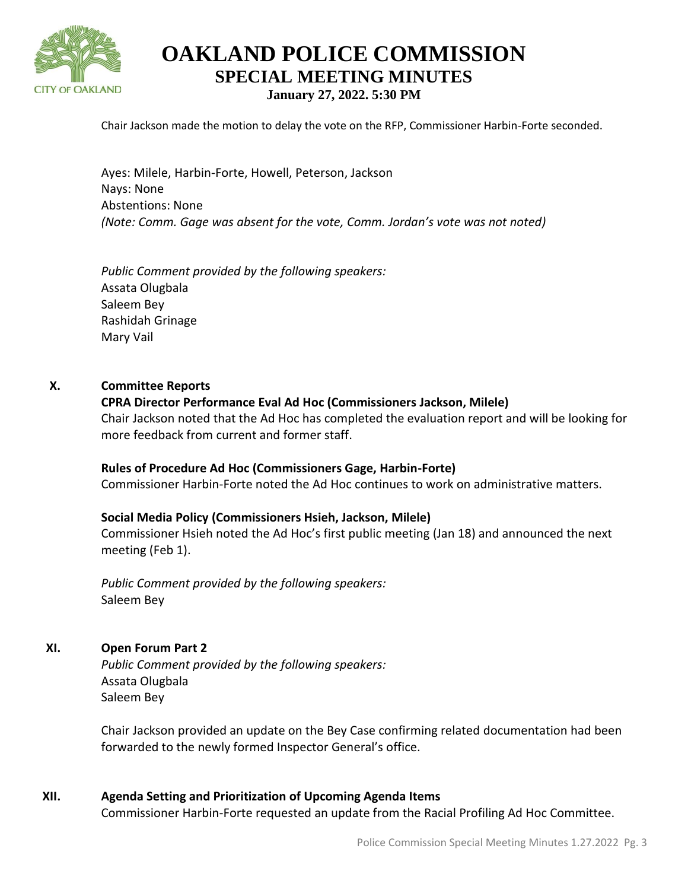

# **OAKLAND POLICE COMMISSION SPECIAL MEETING MINUTES January 27, 2022. 5:30 PM**

Chair Jackson made the motion to delay the vote on the RFP, Commissioner Harbin-Forte seconded.

Ayes: Milele, Harbin-Forte, Howell, Peterson, Jackson Nays: None Abstentions: None *(Note: Comm. Gage was absent for the vote, Comm. Jordan's vote was not noted)*

*Public Comment provided by the following speakers:*  Assata Olugbala Saleem Bey Rashidah Grinage Mary Vail

#### **X. Committee Reports**

#### **CPRA Director Performance Eval Ad Hoc (Commissioners Jackson, Milele)**

Chair Jackson noted that the Ad Hoc has completed the evaluation report and will be looking for more feedback from current and former staff.

#### **Rules of Procedure Ad Hoc (Commissioners Gage, Harbin-Forte)**

Commissioner Harbin-Forte noted the Ad Hoc continues to work on administrative matters.

#### **Social Media Policy (Commissioners Hsieh, Jackson, Milele)**

Commissioner Hsieh noted the Ad Hoc's first public meeting (Jan 18) and announced the next meeting (Feb 1).

*Public Comment provided by the following speakers:*  Saleem Bey

#### **XI. Open Forum Part 2**

*Public Comment provided by the following speakers:*  Assata Olugbala Saleem Bey

Chair Jackson provided an update on the Bey Case confirming related documentation had been forwarded to the newly formed Inspector General's office.

#### **XII. Agenda Setting and Prioritization of Upcoming Agenda Items**

Commissioner Harbin-Forte requested an update from the Racial Profiling Ad Hoc Committee.